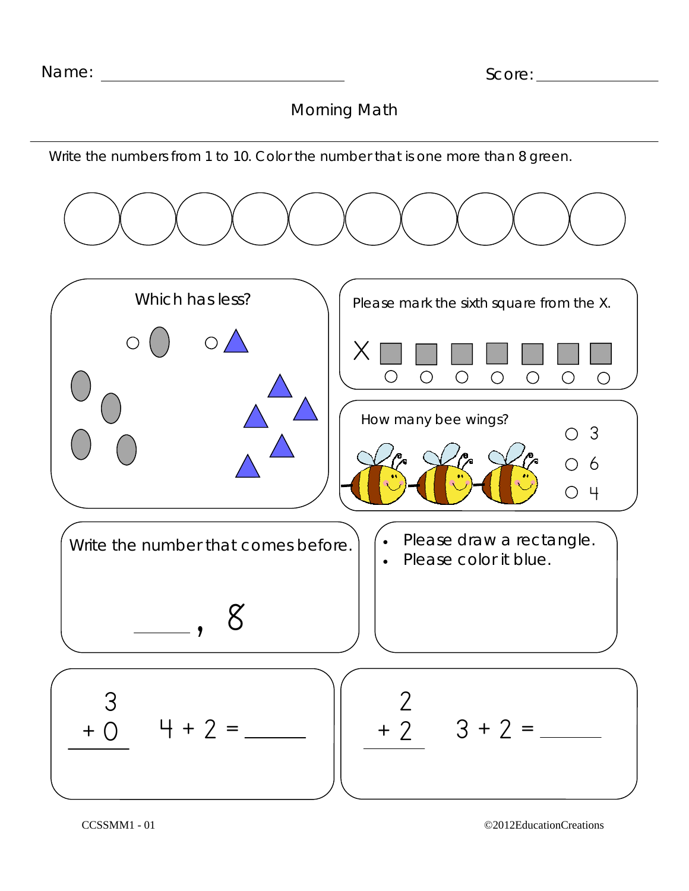Morning Math

Write the numbers from 1 to 10. Color the number that is one more than 8 green.



CCSSMM1 - 01 ©2012EducationCreations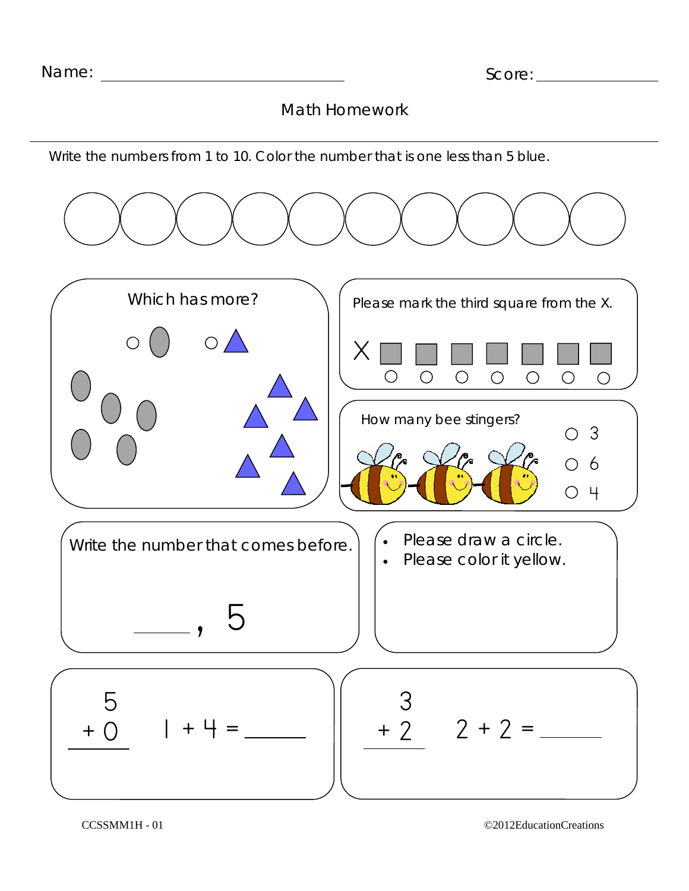Write the numbers from 1 to 10. Color the number that is one less than 5 blue.

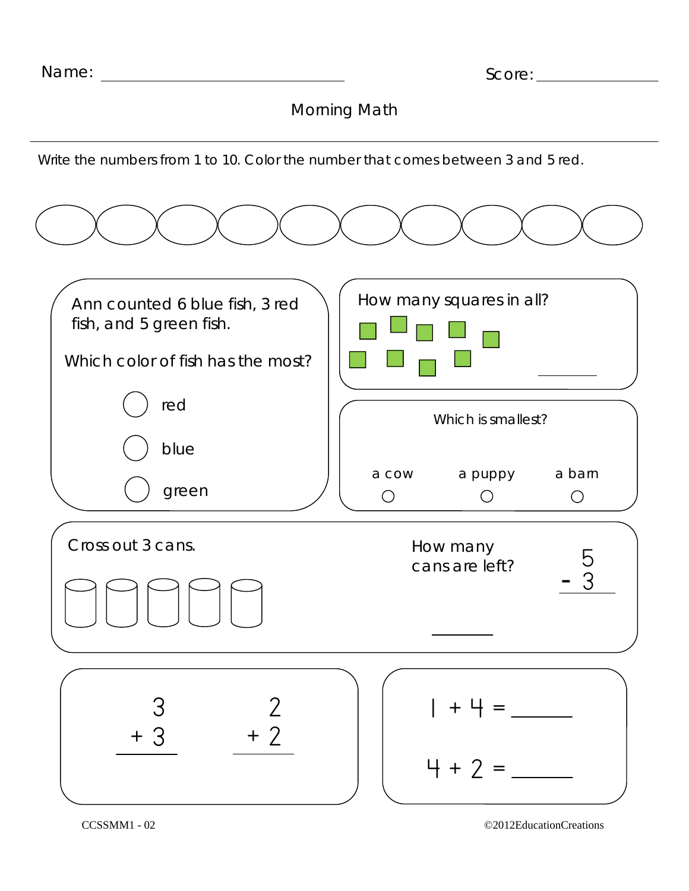Morning Math

Write the numbers from 1 to 10. Color the number that comes between 3 and 5 red.



CCSSMM1 - 02 ©2012EducationCreations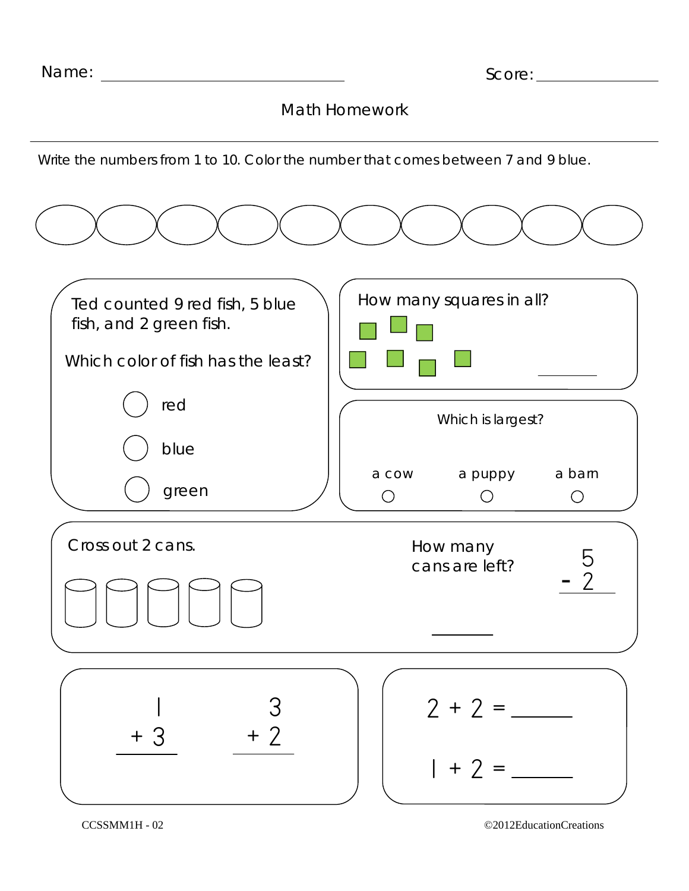Write the numbers from 1 to 10. Color the number that comes between 7 and 9 blue.



CCSSMM1H - 02 ©2012EducationCreations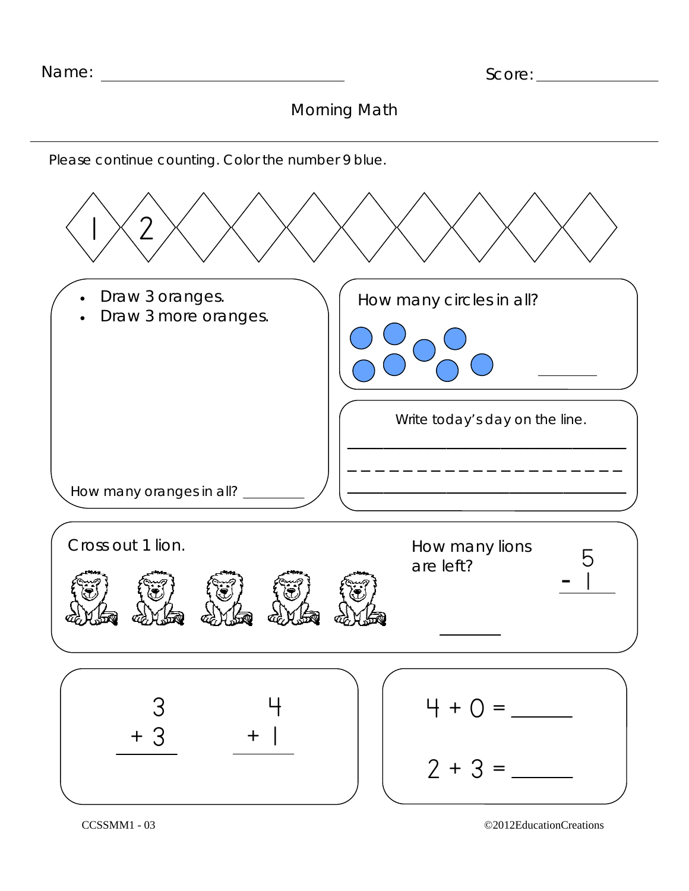## Morning Math

Please continue counting. Color the number 9 blue.

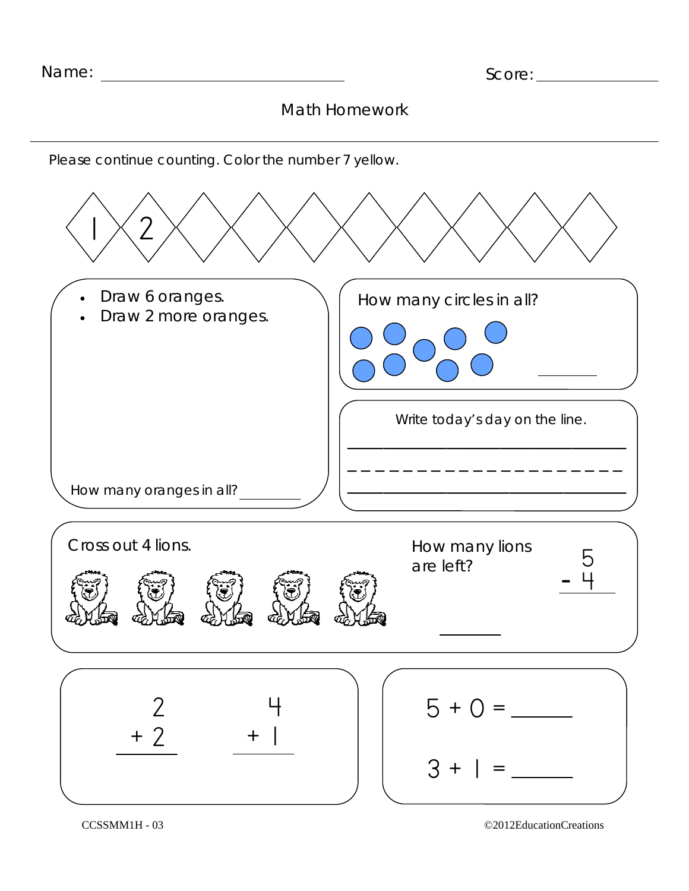Please continue counting. Color the number 7 yellow.



CCSSMM1H - 03 ©2012EducationCreations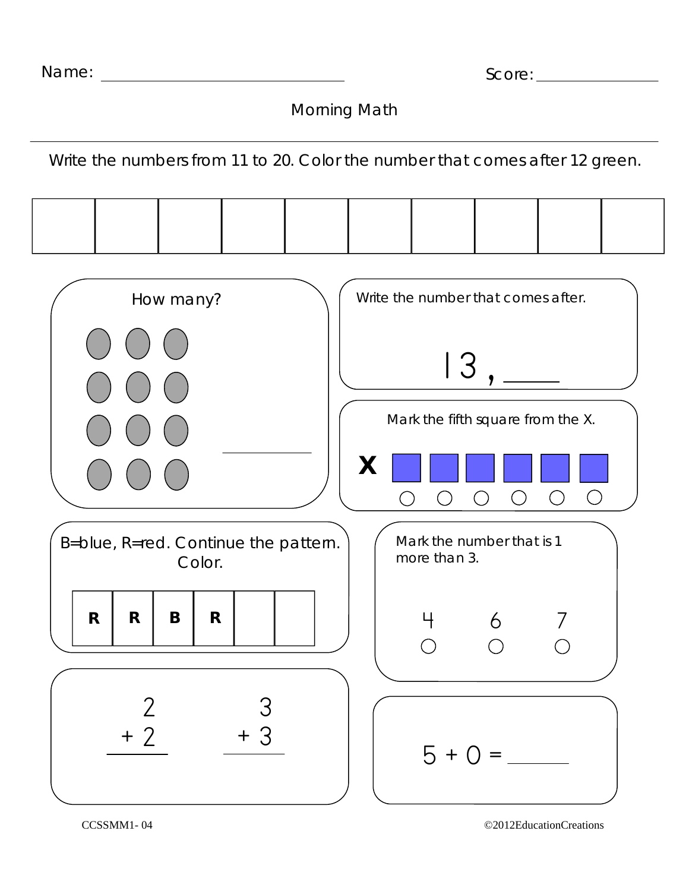| Name: |  |
|-------|--|
|-------|--|

Morning Math

Write the numbers from 11 to 20. Color the number that comes after 12 green.



CCSSMM1- 04 ©2012EducationCreations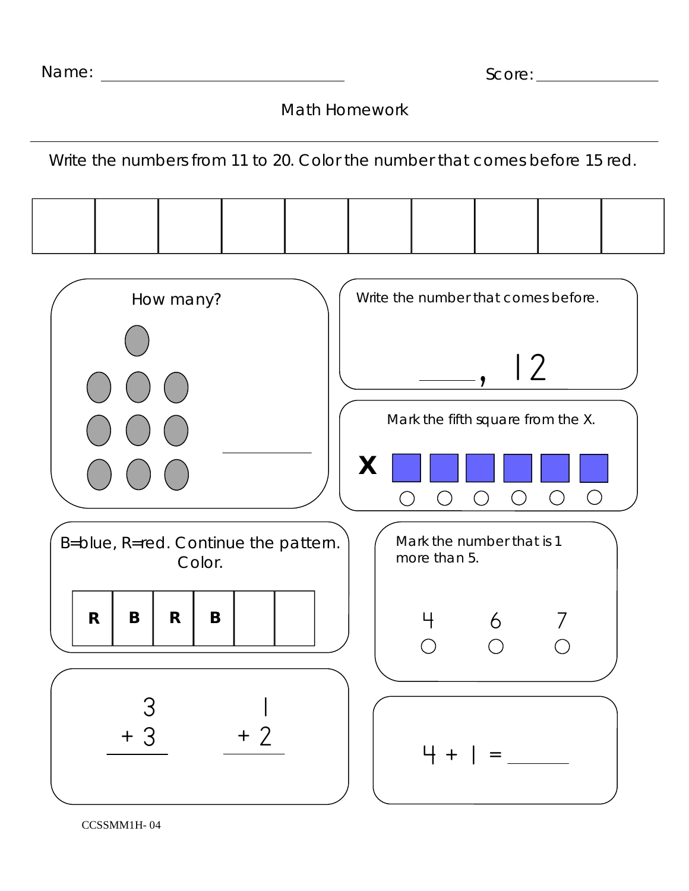| Name: |  |
|-------|--|
|-------|--|

Math Homework

Write the numbers from 11 to 20. Color the number that comes before 15 red.



CCSSMM1H- 04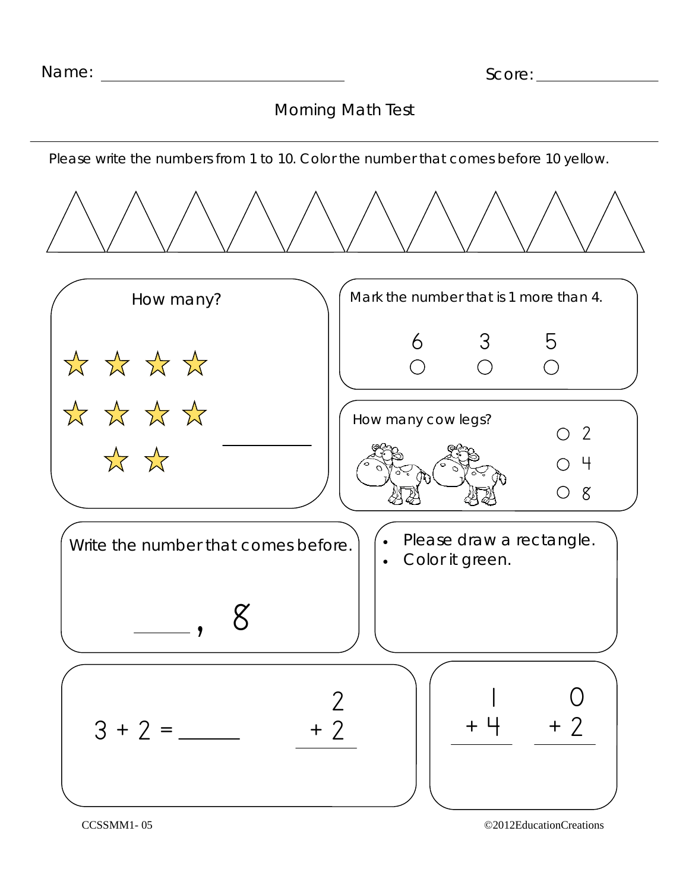## Morning Math Test